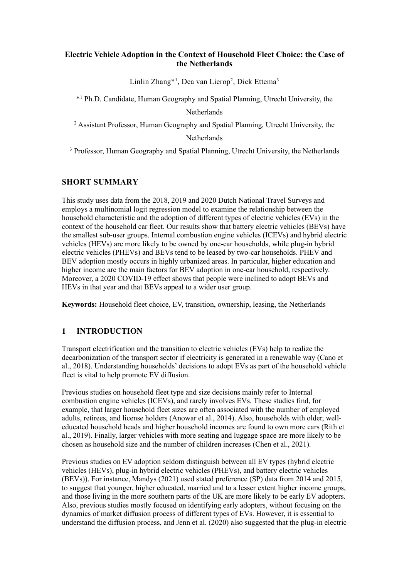# **Electric Vehicle Adoption in the Context of Household Fleet Choice: the Case of the Netherlands**

Linlin Zhang\*<sup>1</sup>, Dea van Lierop<sup>2</sup>, Dick Ettema<sup>3</sup>

\*1 Ph.D. Candidate, Human Geography and Spatial Planning, Utrecht University, the **Netherlands** 

<sup>2</sup> Assistant Professor, Human Geography and Spatial Planning, Utrecht University, the

## **Netherlands**

<sup>3</sup> Professor, Human Geography and Spatial Planning, Utrecht University, the Netherlands

# **SHORT SUMMARY**

This study uses data from the 2018, 2019 and 2020 Dutch National Travel Surveys and employs a multinomial logit regression model to examine the relationship between the household characteristic and the adoption of different types of electric vehicles (EVs) in the context of the household car fleet. Our results show that battery electric vehicles (BEVs) have the smallest sub-user groups. Internal combustion engine vehicles (ICEVs) and hybrid electric vehicles (HEVs) are more likely to be owned by one-car households, while plug-in hybrid electric vehicles (PHEVs) and BEVs tend to be leased by two-car households. PHEV and BEV adoption mostly occurs in highly urbanized areas. In particular, higher education and higher income are the main factors for BEV adoption in one-car household, respectively. Moreover, a 2020 COVID-19 effect shows that people were inclined to adopt BEVs and HEVs in that year and that BEVs appeal to a wider user group.

**Keywords:** Household fleet choice, EV, transition, ownership, leasing, the Netherlands

# **1 INTRODUCTION**

Transport electrification and the transition to electric vehicles (EVs) help to realize the decarbonization of the transport sector if electricity is generated in a renewable way [\(Cano et](#page-10-0)  [al., 2018\)](#page-10-0). Understanding households' decisions to adopt EVs as part of the household vehicle fleet is vital to help promote EV diffusion.

Previous studies on household fleet type and size decisions mainly refer to Internal combustion engine vehicles (ICEVs), and rarely involves EVs. These studies find, for example, that larger household fleet sizes are often associated with the number of employed adults, retirees, and license holders [\(Anowar et al., 2014\)](#page-9-0). Also, households with older, welleducated household heads and higher household incomes are found to own more cars [\(Rith et](#page-10-1)  [al., 2019\)](#page-10-1). Finally, larger vehicles with more seating and luggage space are more likely to be chosen as household size and the number of children increases [\(Chen et al., 2021\)](#page-10-2).

Previous studies on EV adoption seldom distinguish between all EV types (hybrid electric vehicles (HEVs), plug-in hybrid electric vehicles (PHEVs), and battery electric vehicles (BEVs)). For instance, [Mandys \(2021\)](#page-10-3) used stated preference (SP) data from 2014 and 2015, to suggest that younger, higher educated, married and to a lesser extent higher income groups, and those living in the more southern parts of the UK are more likely to be early EV adopters. Also, previous studies mostly focused on identifying early adopters, without focusing on the dynamics of market diffusion process of different types of EVs. However, it is essential to understand the diffusion process, an[d Jenn et al. \(2020\)](#page-10-4) also suggested that the plug-in electric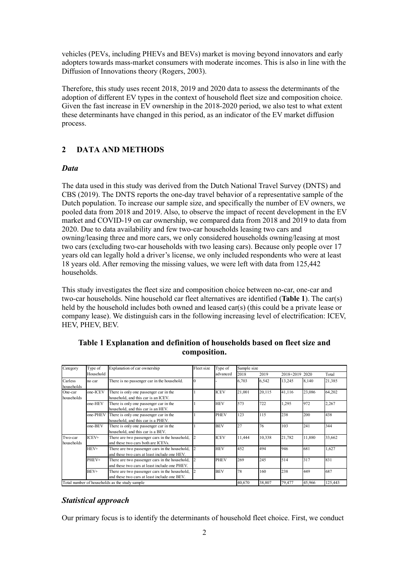vehicles (PEVs, including PHEVs and BEVs) market is moving beyond innovators and early adopters towards mass-market consumers with moderate incomes. This is also in line with the Diffusion of Innovations theory [\(Rogers, 2003\)](#page-10-5).

Therefore, this study uses recent 2018, 2019 and 2020 data to assess the determinants of the adoption of different EV types in the context of household fleet size and composition choice. Given the fast increase in EV ownership in the 2018-2020 period, we also test to what extent these determinants have changed in this period, as an indicator of the EV market diffusion process.

## **2 DATA AND METHODS**

### *Data*

The data used in this study was derived from the Dutch National Travel Survey (DNTS) and [CBS \(2019\).](#page-10-6) The DNTS reports the one-day travel behavior of a representative sample of the Dutch population. To increase our sample size, and specifically the number of EV owners, we pooled data from 2018 and 2019. Also, to observe the impact of recent development in the EV market and COVID-19 on car ownership, we compared data from 2018 and 2019 to data from 2020. Due to data availability and few two-car households leasing two cars and owning/leasing three and more cars, we only considered households owning/leasing at most two cars (excluding two-car households with two leasing cars). Because only people over 17 years old can legally hold a driver's license, we only included respondents who were at least 18 years old. After removing the missing values, we were left with data from 125,442 households.

This study investigates the fleet size and composition choice between no-car, one-car and two-car households. Nine household car fleet alternatives are identified (**Table 1**). The car(s) held by the household includes both owned and leased car(s) (this could be a private lease or company lease). We distinguish cars in the following increasing level of electrification: ICEV, HEV, PHEV, BEV.

| Category              | Type of   | Explanation of car ownership                                                                    | Fleet size     | Type of<br>advanced | Sample size |        |                |         |        |
|-----------------------|-----------|-------------------------------------------------------------------------------------------------|----------------|---------------------|-------------|--------|----------------|---------|--------|
|                       | Household |                                                                                                 |                |                     | 2018        | 2019   | 2018+2019 2020 |         | Total  |
| Carless<br>households | no car    | There is no passenger car in the household.                                                     | lО             |                     | 6,703       | 6,542  | 13,245         | 8,140   | 21,385 |
| One-car<br>households | one-ICEV  | There is only one passenger car in the<br>household, and this car is an ICEV.                   |                | <b>ICEV</b>         | 21,001      | 20,115 | 41,116         | 23,086  | 64,202 |
|                       | one-HEV   | There is only one passenger car in the<br>household, and this car is an HEV.                    |                | <b>HEV</b>          | 573         | 722    | 1,295          | 972     | 2,267  |
|                       | one-PHEV  | There is only one passenger car in the<br>household, and this car is a PHEV.                    |                | <b>PHEV</b>         | 123         | 115    | 238            | 200     | 438    |
|                       | one-BEV   | There is only one passenger car in the<br>household, and this car is a BEV.                     |                | <b>BEV</b>          | 27          | 76     | 103            | 241     | 344    |
| Two-car<br>households | ICEV+     | There are two passenger cars in the household,<br>and these two cars both are ICEVs.            |                | <b>ICEV</b>         | 11,444      | 10,338 | 21,782         | 11,880  | 33,662 |
|                       | HEV+      | There are two passenger cars in the household,<br>and these two cars at least include one HEV.  |                | <b>HEV</b>          | 452         | 494    | 946            | 681     | 1,627  |
|                       | PHEV+     | There are two passenger cars in the household,<br>and these two cars at least include one PHEV. |                | <b>PHEV</b>         | 269         | 245    | 514            | 317     | 831    |
|                       | BEV+      | There are two passenger cars in the household,<br>and these two cars at least include one BEV.  | $\overline{c}$ | <b>BEV</b>          | 78          | 160    | 238            | 449     | 687    |
|                       |           | Total number of households as the study sample                                                  |                | 40,670              | 38,807      | 79,477 | 45,966         | 125,443 |        |

**Table 1 Explanation and definition of households based on fleet size and composition.**

### *Statistical approach*

Our primary focus is to identify the determinants of household fleet choice. First, we conduct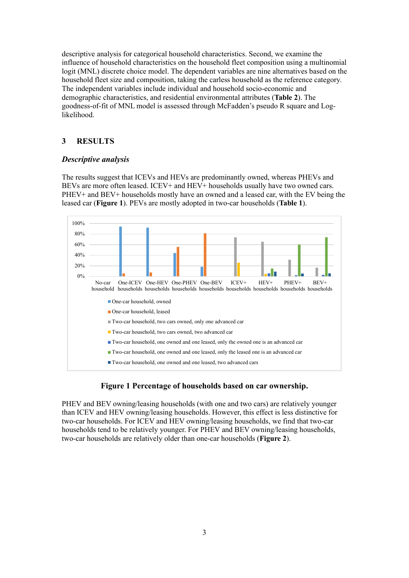descriptive analysis for categorical household characteristics. Second, we examine the influence of household characteristics on the household fleet composition using a multinomial logit (MNL) discrete choice model. The dependent variables are nine alternatives based on the household fleet size and composition, taking the carless household as the reference category. The independent variables include individual and household socio-economic and demographic characteristics, and residential environmental attributes (**Table 2**). The goodness-of-fit of MNL model is assessed through McFadden's pseudo R square and Loglikelihood.

## **3 RESULTS**

### *Descriptive analysis*

The results suggest that ICEVs and HEVs are predominantly owned, whereas PHEVs and BEVs are more often leased. ICEV+ and HEV+ households usually have two owned cars. PHEV+ and BEV+ households mostly have an owned and a leased car, with the EV being the leased car (**Figure 1**). PEVs are mostly adopted in two-car households (**Table 1**).



### **Figure 1 Percentage of households based on car ownership.**

PHEV and BEV owning/leasing households (with one and two cars) are relatively younger than ICEV and HEV owning/leasing households. However, this effect is less distinctive for two-car households. For ICEV and HEV owning/leasing households, we find that two-car households tend to be relatively younger. For PHEV and BEV owning/leasing households, two-car households are relatively older than one-car households (**Figure 2**).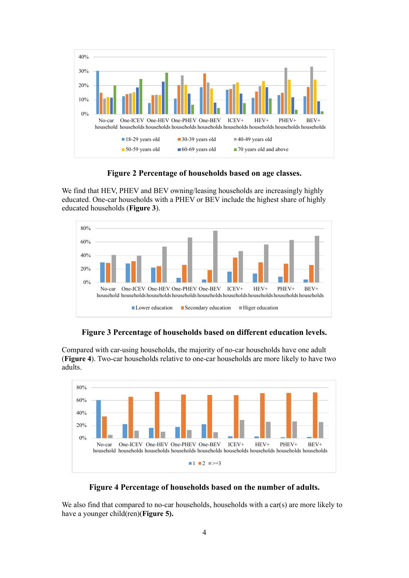

**Figure 2 Percentage of households based on age classes.**

We find that HEV, PHEV and BEV owning/leasing households are increasingly highly educated. One-car households with a PHEV or BEV include the highest share of highly educated households (**Figure 3**).



**Figure 3 Percentage of households based on different education levels.**

Compared with car-using households, the majority of no-car households have one adult (**Figure 4**). Two-car households relative to one-car households are more likely to have two adults.



**Figure 4 Percentage of households based on the number of adults.**

We also find that compared to no-car households, households with a car(s) are more likely to have a younger child(ren)(**Figure 5).**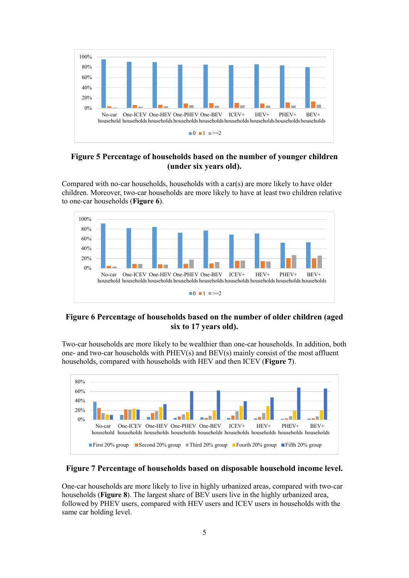

## **Figure 5 Percentage of households based on the number of younger children (under six years old).**

Compared with no-car households, households with a car(s) are more likely to have older children. Moreover, two-car households are more likely to have at least two children relative to one-car households (**Figure 6**).



# **Figure 6 Percentage of households based on the number of older children (aged six to 17 years old).**

Two-car households are more likely to be wealthier than one-car households. In addition, both one- and two-car households with PHEV(s) and BEV(s) mainly consist of the most affluent households, compared with households with HEV and then ICEV (**Figure 7**).



## **Figure 7 Percentage of households based on disposable household income level.**

One-car households are more likely to live in highly urbanized areas, compared with two-car households (**Figure 8**). The largest share of BEV users live in the highly urbanized area, followed by PHEV users, compared with HEV users and ICEV users in households with the same car holding level.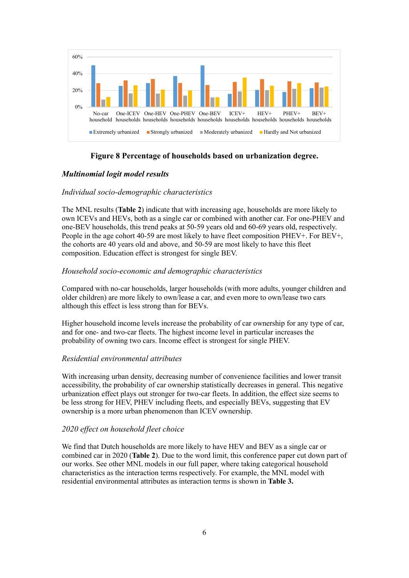

# **Figure 8 Percentage of households based on urbanization degree.**

## *Multinomial logit model results*

### *Individual socio-demographic characteristics*

The MNL results (**Table 2**) indicate that with increasing age, households are more likely to own ICEVs and HEVs, both as a single car or combined with another car. For one-PHEV and one-BEV households, this trend peaks at 50-59 years old and 60-69 years old, respectively. People in the age cohort 40-59 are most likely to have fleet composition PHEV+. For BEV+, the cohorts are 40 years old and above, and 50-59 are most likely to have this fleet composition. Education effect is strongest for single BEV.

#### *Household socio-economic and demographic characteristics*

Compared with no-car households, larger households (with more adults, younger children and older children) are more likely to own/lease a car, and even more to own/lease two cars although this effect is less strong than for BEVs.

Higher household income levels increase the probability of car ownership for any type of car, and for one- and two-car fleets. The highest income level in particular increases the probability of owning two cars. Income effect is strongest for single PHEV.

#### *Residential environmental attributes*

With increasing urban density, decreasing number of convenience facilities and lower transit accessibility, the probability of car ownership statistically decreases in general. This negative urbanization effect plays out stronger for two-car fleets. In addition, the effect size seems to be less strong for HEV, PHEV including fleets, and especially BEVs, suggesting that EV ownership is a more urban phenomenon than ICEV ownership.

### *2020 effect on household fleet choice*

We find that Dutch households are more likely to have HEV and BEV as a single car or combined car in 2020 (**Table 2**). Due to the word limit, this conference paper cut down part of our works. See other MNL models in our full paper, where taking categorical household characteristics as the interaction terms respectively. For example, the MNL model with residential environmental attributes as interaction terms is shown in **Table 3.**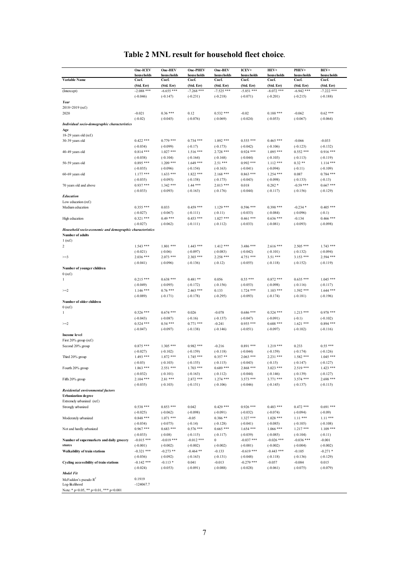|                                                          | One-ICEV                  | One-HEV                 | One-PHEV                 | One-BEV                  | ICEV+                     | HEV+                      | PHEV+                  | BEV+                      |
|----------------------------------------------------------|---------------------------|-------------------------|--------------------------|--------------------------|---------------------------|---------------------------|------------------------|---------------------------|
|                                                          | households                | households              | households               | households               | households                | households                | households             | households                |
| Variable Name                                            | Coef.                     | Coef.                   | Coef.                    | Coef.                    | Coef.                     | Coef.                     | Coef.                  | Coef.                     |
|                                                          | (Std. Err)                | (Std. Err)              | (Std. Err)               | (Std. Err)               | (Std. Err)                | (Std. Err)                | (Std. Err)             | (Std. Err)                |
| (Intercept)                                              | $-2.088$ ***              | $-6.655***$             | $-7.268$ ***             | $-7.525$ ***             | $-5.851$ ***              | $-8.072$ ***              | $-6.942$ ***           | $-7.222$ ***              |
|                                                          | $(-0.046)$                | $(-0.147)$              | $(-0.231)$               | $(-0.218)$               | $(-0.071)$                | $(-0.201)$                | $(-0.215)$             | $(-0.188)$                |
| Year<br>2018+2019 (ref.)                                 |                           |                         |                          |                          |                           |                           |                        |                           |
| 2020                                                     | $-0.021$                  | $0.36***$               | 0.12                     | $0.532***$               | $-0.02$                   | $0.188$ ***               | $-0.062$               | $0.62***$                 |
|                                                          | $(-0.02)$                 | $(-0.045)$              | $(-0.076)$               | $(-0.069)$               | $(-0.024)$                | $(-0.053)$                | $(-0.067)$             | $(-0.064)$                |
| Individual socio-demographic characteristics             |                           |                         |                          |                          |                           |                           |                        |                           |
| Age                                                      |                           |                         |                          |                          |                           |                           |                        |                           |
| 18-29 years old (ref.)                                   |                           |                         |                          |                          |                           |                           |                        |                           |
| 30-39 years old                                          | $0.422$ ***               | $0.779$ ***             | $0.734***$               | $1.892***$               | $0.555***$                | $0.465$ ***               | $-0.066$               | $-0.033$                  |
|                                                          | $(-0.034)$                | $(-0.099)$              | $(-0.17)$                | $(-0.173)$               | $(-0.042)$                | $(-0.106)$                | $(-0.123)$             | $(-0.132)$                |
| 40-49 years old                                          | $0.814***$                | $1.027***$              | $1.516***$               | $2.728$ ***              | $0.924$ ***               | $1.095$ ***               | $0.552***$             | $0.916***$                |
|                                                          | $(-0.038)$                | $(-0.104)$              | $(-0.164)$               | $(-0.168)$               | $(-0.044)$                | $(-0.103)$                | $(-0.113)$             | $(-0.119)$                |
| 50-59 years old                                          | $0.895***$                | $1.209$ ***             | $1.649***$               | $2.51***$                | $0.992$ ***               | $1.112***$                | $0.32**$               | $1.114***$                |
|                                                          | $(-0.035)$                | $(-0.096)$              | $(-0.154)$               | $(-0.163)$               | $(-0.041)$                | $(-0.094)$                | $(-0.11)$              | $(-0.109)$                |
| 60-69 years old                                          | $1.177***$                | $1.633***$              | $1.822***$               | $2.168***$               | $0.863$ ***               | $1.254$ ***               | 0.087                  | $0.784$ ***               |
|                                                          | $(-0.035)$                | $(-0.093)$              | $(-0.158)$               | $(-0.175)$               | $(-0.043)$                | $(-0.098)$                | $(-0.133)$             | $(-0.13)$                 |
| 70 years old and above                                   | $0.937***$                | $1.342$ ***             | $1.44***$                | $2.013***$               | 0.018                     | $0.282*$                  | $-0.59$ ***            | $0.667$ ***               |
|                                                          | $(-0.033)$                | $(-0.093)$              | $(-0.163)$               | $(-0.176)$               | $(-0.044)$                | $(-0.117)$                | $(-0.156)$             | $(-0.129)$                |
| <b>Education</b>                                         |                           |                         |                          |                          |                           |                           |                        |                           |
| Low education (ref.)                                     |                           |                         |                          |                          |                           |                           |                        |                           |
| Medium education                                         | $0.355***$                | 0.033                   | $0.459***$               | $1.129***$               | $0.596$ ***               | $0.398$ ***               | $-0.234*$              | $0.405$ ***               |
|                                                          | $(-0.027)$                | $(-0.067)$              | $(-0.111)$               | $(-0.11)$                | $(-0.033)$                | $(-0.084)$                | $(-0.096)$             | $(-0.1)$                  |
| High education                                           | $0.321$ ***<br>$(-0.027)$ | $0.49***$<br>$(-0.062)$ | $0.453***$<br>$(-0.111)$ | $1.027***$<br>$(-0.112)$ | $0.461$ ***<br>$(-0.033)$ | $0.636$ ***<br>$(-0.081)$ | $-0.134$<br>$(-0.093)$ | $0.466$ ***<br>$(-0.098)$ |
|                                                          |                           |                         |                          |                          |                           |                           |                        |                           |
| Household socio-economic and demographic characteristics |                           |                         |                          |                          |                           |                           |                        |                           |
| Number of adults                                         |                           |                         |                          |                          |                           |                           |                        |                           |
| $1$ (ref.)<br>$\overline{\mathbf{c}}$                    | $1.543$ ***               | $1.801$ ***             | $1.443$ ***              | $1.412***$               | 3.486 ***                 | $2.616***$                | $2.505***$             | $1.743$ ***               |
|                                                          | $(-0.021)$                | $(-0.06)$               | $(-0.097)$               | $(-0.083)$               | $(-0.042)$                | $(-0.101)$                | $(-0.132)$             | $(-0.094)$                |
| $>=3$                                                    | $2.036$ ***               | $2.073$ ***             | $2.303***$               | 2.258 ***                | 4.751 ***                 | $3.51***$                 | $3.153***$             | $2.594$ ***               |
|                                                          | $(-0.041)$                | $(-0.096)$              | $(-0.136)$               | $(-0.12)$                | $(-0.055)$                | $(-0.118)$                | $(-0.152)$             | $(-0.119)$                |
| Number of younger children                               |                           |                         |                          |                          |                           |                           |                        |                           |
| 0(ref.)                                                  |                           |                         |                          |                          |                           |                           |                        |                           |
| 1                                                        | $0.215***$                | $0.638***$              | $0.481**$                | 0.056                    | $0.55***$                 | $0.872$ ***               | $0.635***$             | $1.045***$                |
|                                                          | $(-0.049)$                | $(-0.095)$              | $(-0.172)$               | $(-0.156)$               | $(-0.053)$                | $(-0.098)$                | $(-0.116)$             | $(-0.117)$                |
| $>=2$                                                    | $1.146$ ***               | $0.76***$               | $2.463$ ***              | 0.133                    | $1.724$ ***               | $1.103$ ***               | $1.592$ ***            | $1.644$ ***               |
|                                                          | $(-0.089)$                | $(-0.171)$              | $(-0.178)$               | $(-0.295)$               | $(-0.093)$                | $(-0.174)$                | $(-0.181)$             | $(-0.196)$                |
| Number of older children                                 |                           |                         |                          |                          |                           |                           |                        |                           |
| $0$ (ref.)                                               |                           |                         |                          |                          |                           |                           |                        |                           |
| $\mathbf{1}$                                             | $0.526$ ***               | $0.674$ ***             | 0.026                    | $-0.078$                 | $0.686$ ***               | $0.524$ ***               | $1.213***$             | $0.978$ ***               |
|                                                          | $(-0.043)$                | $(-0.087)$              | $(-0.16)$                | $(-0.137)$               | $(-0.047)$                | $(-0.091)$                | $(-0.1)$               | $(-0.102)$                |
| $>=2$                                                    | $0.524$ ***               | $0.54***$               | $0.771$ ***              | $-0.241$                 | $0.955***$                | $0.688***$                | $1.621***$             | $0.894$ ***               |
|                                                          | $(-0.047)$                | $(-0.097)$              | $(-0.138)$               | $(-0.146)$               | $(-0.051)$                | $(-0.097)$                | $(-0.102)$             | $(-0.116)$                |
| Income level                                             |                           |                         |                          |                          |                           |                           |                        |                           |
| First 20% group (ref.)                                   |                           |                         |                          |                          |                           |                           |                        |                           |
| Second 20% group                                         | $0.875$ ***               | $1.305***$              | $0.982***$               | $-0.216$                 | $0.891***$                | $1.219$ ***               | 0.233                  | $0.55***$                 |
|                                                          | $(-0.027)$                | $(-0.102)$              | $(-0.159)$               | $(-0.118)$               | $(-0.044)$                | $(-0.159)$                | $(-0.174)$             | $(-0.126)$                |
| Third 20% group                                          | $1.493$ ***               | $1.872$ ***             | $1.745***$               | $0.357**$                | $2.063$ ***               | $2.231$ ***               | $1.582***$             | $1.045***$                |
|                                                          | $(-0.03)$                 | $(-0.103)$              | $(-0.155)$               | $(-0.115)$               | $(-0.043)$                | $(-0.15)$                 | $(-0.147)$             | $(-0.127)$                |
| Fourth 20% group                                         | $1.863$ ***               | $2.551***$              | $1.703$ ***              | $0.689***$               | $2.868***$                | $3.023$ ***               | $2.519***$             | $1.423***$                |
|                                                          | $(-0.032)$                | $(-0.101)$              | $(-0.163)$               | $(-0.112)$               | $(-0.044)$                | $(-0.146)$                | $(-0.139)$             | $(-0.127)$                |
| Fifth 20% group                                          | $2.104$ ***               | $2.81***$               | $2.872***$               | $1.274$ ***              | $3.573$ ***               | 3.771 ***                 | $3.574$ ***            | 2.698 ***                 |
|                                                          | $(-0.035)$                | $(-0.103)$              | $(-0.151)$               | $(-0.106)$               | $(-0.046)$                | $(-0.145)$                | $(-0.137)$             | $(-0.115)$                |
| Residential environmental factors                        |                           |                         |                          |                          |                           |                           |                        |                           |
| <b>Urbanization</b> degree                               |                           |                         |                          |                          |                           |                           |                        |                           |
| Extremely urbanized (ref.)                               |                           |                         |                          |                          |                           |                           |                        |                           |
| Strongly urbanized                                       | $0.538***$                | $0.853***$              | 0.042                    | $0.429***$               | $0.926$ ***               | $0.483$ ***               | $0.472$ ***            | $0.691***$                |
|                                                          | $(-0.025)$                | $(-0.062)$              | $(-0.098)$               | $(-0.091)$               | $(-0.032)$                | $(-0.074)$                | $(-0.094)$             | $(-0.09)$                 |
| Moderately urbanized                                     | $0.848$ ***               | $1.071***$              | $-0.05$                  | $0.386**$                | $1.327***$                | $1.028$ ***               | $1.11***$              | $1.11***$                 |
|                                                          | $(-0.034)$                | $(-0.075)$              | $(-0.14)$                | $(-0.128)$               | $(-0.041)$                | $(-0.085)$                | $(-0.105)$             | $(-0.108)$                |
| Not and hardly urbanized                                 | $0.967$ ***               | $0.683$ ***             | $0.576$ ***              | $0.665***$               | $1.654$ ***               | $1.066$ ***               | $1.217***$             | $1.109***$                |
|                                                          | $(-0.033)$                | $(-0.08)$               | $(-0.115)$               | $(-0.117)$               | $(-0.039)$                | $(-0.085)$                | $(-0.104)$             | $(-0.11)$                 |
| Number of supermarkets and daily grocery                 | $-0.015$ ***              | $-0.019$ ***            | $-0.012$ ***             | 0                        | $-0.037$ ***              | $-0.026$ ***              | $-0.036$ ***           | $-0.001$                  |
| stores                                                   | $(-0.001)$                | $(-0.002)$              | $(-0.002)$               | $(-0.002)$               | $(-0.001)$                | $(-0.002)$                | $(-0.004)$             | $(-0.002)$                |
| Walkability of train stations                            | $-0.321$ ***              | $-0.273**$              | $-0.464$ **              | $-0.133$                 | $-0.619$ ***              | $-0.443$ ***              | $-0.105$               | $-0.271*$                 |
|                                                          | $(-0.036)$                | $(-0.092)$              | $(-0.163)$               | $(-0.131)$               | $(-0.048)$                | $(-0.118)$                | $(-0.136)$             | $(-0.129)$                |
| Cycling accessibility of train stations                  | $-0.142$ ***              | $-0.113*$               | 0.041                    | $-0.013$                 | $-0.279$ ***              | $-0.057$                  | $-0.084$               | 0.015                     |
|                                                          | $(-0.024)$                | $(-0.053)$              | $(-0.091)$               | $(-0.088)$               | $(-0.028)$                | $(-0.061)$                | $(-0.075)$             | $(-0.079)$                |

# **Table 2 MNL result for household fleet choice.**

McFadden's pseudo R<sup>2</sup> 10.1919<br>
Log-likelihood 124067.7

Note: \* p<0.05, \*\* p<0.01, \*\*\* p<0.001

*Model Fit*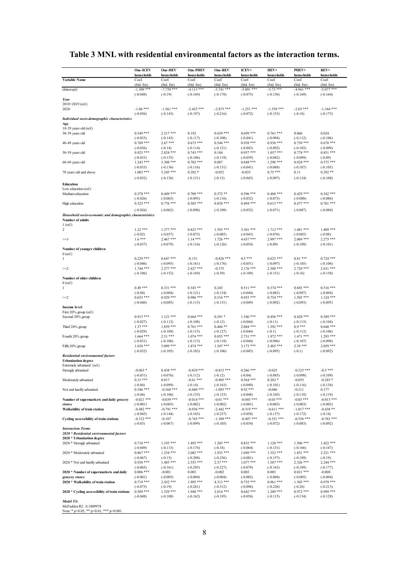# **Table 3 MNL with residential environmental factors as the interaction terms.**

|                                                                              | One-ICEV                   | One-HEV                    | One-PHEV                   | One-BEV                    | ICEV+                      | HEV+                       | PHEV+                      | BEV+                       |
|------------------------------------------------------------------------------|----------------------------|----------------------------|----------------------------|----------------------------|----------------------------|----------------------------|----------------------------|----------------------------|
| Variable Name                                                                | households<br>Coef.        | households<br>Coef.        | households<br>Coef.        | households<br>Coef         | households<br>Coef.        | households<br>Coef         | households<br>Coef.        | households<br>Coef.        |
|                                                                              | (Std. Err)                 | (Std. Err)                 | (Std. Err)<br>$-4.113$ *** | (Std. Err)                 | (Std. Err)                 | (Std. Err)                 | (Std. Err)<br>$-4.961$ *** | (Std. Err)                 |
| (Intercept)                                                                  | $-1.309$ ***<br>$(-0.048)$ | $-7.759$ ***<br>$(-0.19)$  | $(-0.169)$                 | $-3.741$ ***<br>$(-0.178)$ | $-5.091$ ***<br>$(-0.075)$ | $-5.73$ ***<br>$(-0.156)$  | $(-0.169)$                 | $-5.077$ ***<br>$(-0.164)$ |
| Year                                                                         |                            |                            |                            |                            |                            |                            |                            |                            |
| $2018+2019$ (ref.)<br>2020                                                   | $-1.04$ ***                | $-1.561$ ***               | $-2.425$ ***               | $-2.875$ ***               | $-1.251$ ***               | $-1.539$ ***               | $-2.03$ ***                | $-1.344$ ***               |
|                                                                              | $(-0.056)$                 | $(-0.143)$                 | $(-0.197)$                 | $(-0.216)$                 | $(-0.072)$                 | $(-0.153)$                 | $(-0.18)$                  | $(-0.173)$                 |
| Individual socio-demographic characteristics                                 |                            |                            |                            |                            |                            |                            |                            |                            |
| Age<br>18-29 years old (ref.)                                                |                            |                            |                            |                            |                            |                            |                            |                            |
| 30-39 years old                                                              | $0.549$ ***                | $2.217***$                 | 0.192                      | $0.659***$                 | $0.699$ ***                | $0.761$ ***                | 0.066                      | 0.024                      |
|                                                                              | $(-0.033)$                 | $(-0.143)$                 | $(-0.117)$                 | $(-0.108)$                 | $(-0.041)$                 | $(-0.094)$                 | $(-0.112)$                 | $(-0.106)$<br>$0.678***$   |
| 40-49 years old                                                              | $0.789$ ***<br>$(-0.036)$  | $2.67***$<br>$(-0.14)$     | $0.673$ ***<br>$(-0.114)$  | $0.544***$<br>$(-0.121)$   | $0.938***$<br>$(-0.043)$   | $0.938***$<br>$(-0.092)$   | $0.759***$<br>$(-0.103)$   | $(-0.099)$                 |
| 50-59 years old                                                              | $0.925***$                 | $2.824$ ***                | $0.743***$                 | 0.184                      | $0.957***$                 | $1.037$ ***                | $0.778***$                 | $0.851***$                 |
| 60-69 years old                                                              | $(-0.033)$<br>$1.243$ ***  | $(-0.135)$<br>$3.308$ ***  | $(-0.106)$<br>$0.702$ ***  | $(-0.119)$<br>0.087        | $(-0.039)$<br>$0.848$ ***  | $(-0.082)$<br>$1.298$ ***  | $(-0.099)$<br>$0.924$ ***  | $(-0.09)$<br>$0.575***$    |
|                                                                              | $(-0.033)$                 | $(-0.136)$                 | $(-0.116)$                 | $(-0.131)$                 | $(-0.041)$                 | $(-0.088)$                 | $(-0.107)$                 | $(-0.105)$                 |
| 70 years old and above                                                       | $1.003$ ***                | $3.245$ ***                | $0.282*$                   | $-0.052$                   | $-0.035$                   | $0.75***$                  | 0.11                       | $0.292**$                  |
|                                                                              | $(-0.032)$                 | $(-0.136)$                 | $(-0.121)$                 | $(-0.13)$                  | $(-0.043)$                 | $(-0.097)$                 | $(-0.124)$                 | $(-0.108)$                 |
| Education                                                                    |                            |                            |                            |                            |                            |                            |                            |                            |
| Low education (ref.)<br>Medium education                                     | $0.378$ ***                | $0.449$ ***                | $0.709$ ***                | $0.372**$                  | $0.596$ ***                | $0.488$ ***                | $0.429***$                 | $0.542$ ***                |
|                                                                              | $(-0.026)$                 | $(-0.065)$                 | $(-0.095)$                 | $(-0.116)$                 | $(-0.032)$                 | $(-0.073)$                 | $(-0.088)$                 | $(-0.086)$                 |
| High education                                                               | $0.325$ ***                | $0.776$ ***                | $0.505***$                 | $0.838***$                 | $0.494$ ***                | $0.615***$                 | $0.477$ ***                | $0.701$ ***                |
|                                                                              | $(-0.026)$                 | $(-0.062)$                 | $(-0.098)$                 | $(-0.109)$                 | $(-0.032)$                 | $(-0.071)$                 | $(-0.087)$                 | $(-0.084)$                 |
| Household socio-economic and demographic characteristics<br>Number of adults |                            |                            |                            |                            |                            |                            |                            |                            |
| $1$ (ref.)                                                                   |                            |                            |                            |                            |                            |                            |                            |                            |
| $\overline{c}$                                                               | $1.22***$                  | $1.377***$                 | $0.823***$                 | $1.393***$                 | $3.301$ ***                | $1.712$ ***                | 1.481 ***                  | $1.489$ ***                |
| $>=3$                                                                        | $(-0.02)$<br>$1.6***$      | $(-0.057)$<br>$2.467$ ***  | $(-0.075)$<br>$1.14***$    | $(-0.085)$<br>$1.726$ ***  | $(-0.043)$<br>4.437 ***    | $(-0.076)$<br>2.997 ***    | $(-0.085)$<br>$2.069$ ***  | $(-0.08)$<br>$2.275$ ***   |
|                                                                              | $(-0.037)$                 | $(-0.079)$                 | $(-0.116)$                 | $(-0.126)$                 | $(-0.054)$                 | $(-0.09)$                  | $(-0.109)$                 | $(-0.101)$                 |
| Number of younger children                                                   |                            |                            |                            |                            |                            |                            |                            |                            |
| 0(ref.)<br>$\mathbf{1}$                                                      | $0.229$ ***                | $0.647$ ***                | $-0.131$                   | $-0.826$ ***               | $0.5***$                   | $0.625$ ***                | $0.81***$                  | $0.724$ ***                |
|                                                                              | $(-0.046)$                 | $(-0.095)$                 | $(-0.161)$                 | $(-0.176)$                 | $(-0.051)$                 | $(-0.097)$                 | $(-0.105)$                 | $(-0.106)$                 |
| $>=2$                                                                        | $1.744$ ***                | $2.277***$                 | $2.627***$                 | $-0.375$                   | $2.176$ ***                | $2.308$ ***                | $2.729***$                 | $2.631***$                 |
| Number of older children                                                     | $(-0.106)$                 | $(-0.152)$                 | $(-0.169)$                 | $(-0.39)$                  | $(-0.109)$                 | $(-0.151)$                 | $(-0.16)$                  | $(-0.158)$                 |
| $0$ (ref.)                                                                   |                            |                            |                            |                            |                            |                            |                            |                            |
| $\mathbf{1}$                                                                 | $0.49***$                  | $0.331***$                 | $0.343**$                  | 0.243                      | $0.511***$                 | $0.374$ ***                | $0.685***$                 | $0.516***$                 |
| $>=2$                                                                        | $(-0.04)$<br>$0.653$ ***   | $(-0.084)$<br>$0.929$ ***  | $(-0.121)$<br>$0.986***$   | $(-0.134)$<br>$0.516***$   | $(-0.044)$<br>$0.955***$   | $(-0.083)$<br>$0.754$ ***  | $(-0.097)$<br>$1.505***$   | $(-0.094)$<br>$1.124***$   |
|                                                                              | $(-0.046)$                 | $(-0.085)$                 | $(-0.115)$                 | $(-0.131)$                 | $(-0.049)$                 | $(-0.092)$                 | $(-0.093)$                 | $(-0.095)$                 |
| <b>Income level</b>                                                          |                            |                            |                            |                            |                            |                            |                            |                            |
| First 20% group (ref.)<br>Second 20% group                                   | $0.915***$                 | $1.121***$                 | $0.664$ ***                | $0.291*$                   | $1.106$ ***                | $0.456$ ***                | $0.428***$                 | $0.389***$                 |
|                                                                              | $(-0.027)$                 | $(-0.112)$                 | $(-0.108)$                 | $(-0.12)$                  | $(-0.044)$                 | $(-0.11)$                  | $(-0.115)$                 | $(-0.104)$                 |
| Third 20% group                                                              | $1.37***$                  | $1.859***$                 | $0.761***$                 | $0.404**$                  | $2.084$ ***                | $1.392$ ***                | $0.9***$                   | $0.648***$                 |
| Fourth 20% group                                                             | $(-0.029)$<br>$1.664$ ***  | $(-0.109)$<br>$2.51***$    | $(-0.115)$<br>$1.074$ ***  | $(-0.127)$<br>$0.855***$   | $(-0.044)$<br>$2.731***$   | $(-0.1)$<br>$1.972$ ***    | $(-0.112)$<br>$1.471***$   | $(-0.106)$<br>$1.293$ ***  |
|                                                                              | $(-0.031)$                 | $(-0.106)$                 | $(-0.113)$                 | $(-0.118)$                 | $(-0.044)$                 | $(-0.096)$                 | $(-0.107)$                 | $(-0.098)$                 |
| Fifth 20% group                                                              | $1.658***$                 | $3.099$ ***                | $1.874$ ***                | $1.547***$                 | $3.173$ ***                | $2.485***$                 | $2.39***$                  | $2.059***$                 |
| Residential environmental factors                                            | $(-0.032)$                 | $(-0.105)$                 | $(-0.103)$                 | $(-0.106)$                 | $(-0.045)$                 | $(-0.095)$                 | $(-0.1)$                   | $(-0.092)$                 |
| <b>Urbanization</b> degree                                                   |                            |                            |                            |                            |                            |                            |                            |                            |
| Extremely urbanized (ref.)                                                   |                            |                            |                            |                            |                            |                            |                            |                            |
| Strongly urbanized                                                           | $-0.063*$<br>$(-0.031)$    | $0.438***$<br>$(-0.076)$   | $-0.839$ ***<br>$(-0.112)$ | $-0.815***$<br>$(-0.12)$   | $0.266$ ***<br>$(-0.04)$   | $-0.025$<br>$(-0.085)$     | $-0.325$ ***<br>$(-0.098)$ | $-0.5***$<br>$(-0.109)$    |
| Moderately urbanized                                                         | $0.15***$                  | 0.017                      | $-0.61$ ***                | $-0.905$ ***               | $0.564$ ***                | $0.202*$                   | $-0.055$                   | $-0.285*$                  |
|                                                                              | $(-0.04)$                  | $(-0.099)$                 | $(-0.14)$                  | $(-0.163)$                 | $(-0.049)$                 | $(-0.101)$                 | $(-0.116)$                 | $(-0.134)$                 |
| Not and hardly urbanized                                                     | $0.346$ ***<br>$(-0.04)$   | $-0.368$ ***<br>$(-0.106)$ | $-0.686$ ***               | $-1.093$ ***               | $0.92***$<br>$(-0.048)$    | $-0.046$                   | $-0.211$                   | 0.177                      |
| Number of supermarkets and daily grocery                                     | $-0.021$ ***               | $-0.039$ ***               | $(-0.135)$<br>$-0.014$ *** | $(-0.153)$<br>$-0.01$ ***  | $-0.045$ ***               | $(-0.105)$<br>$-0.03$ ***  | $(-0.118)$<br>$-0.03$ ***  | $(-0.119)$<br>$-0.013$ *** |
| stores                                                                       | $(-0.001)$                 | $(-0.003)$                 | $(-0.002)$                 | $(-0.002)$                 | $(-0.001)$                 | $(-0.003)$                 | $(-0.003)$                 | $(-0.002)$                 |
| Walkability of train station                                                 | $-0.482$ ***<br>$(-0.045)$ | $-0.791$ ***<br>$(-0.144)$ | $-0.936$ ***<br>$(-0.165)$ | $-2.442$ ***<br>$(-0.237)$ | $-0.519$ ***<br>$(-0.058)$ | $-0.611$ ***               | $-1.017$ ***               | $-0.438**$<br>$(-0.14)$    |
| Cycling accessibility of train stations                                      | $-0.312$ ***               | $-0.107$                   | $-0.745$ ***               | $-1.389$ ***               | $-0.497$ ***               | $(-0.137)$<br>$-0.351$ *** | $(-0.172)$<br>$-0.556$ *** | $-0.763$ ***               |
|                                                                              | $(-0.03)$                  | $(-0.067)$                 | $(-0.099)$                 | $(-0.105)$                 | $(-0.034)$                 | $(-0.072)$                 | $(-0.083)$                 | $(-0.092)$                 |
| <b>Interaction Terms</b><br>2020 * Residential environmental factors         |                            |                            |                            |                            |                            |                            |                            |                            |
| 2020 * Urbanization degree                                                   |                            |                            |                            |                            |                            |                            |                            |                            |
| 2020 * Strongly urbanized                                                    | $0.718***$                 | $1.193***$                 | $1.493***$                 | $1.203***$                 | $0.832$ ***                | $1.126$ ***                | $1.306***$                 | $1.422***$                 |
|                                                                              | $(-0.049)$                 | $(-0.113)$                 | $(-0.174)$                 | $(-0.18)$                  | $(-0.064)$                 | $(-0.131)$                 | $(-0.166)$                 | $(-0.167)$                 |
| 2020 * Moderately urbanized                                                  | $0.867$ ***<br>$(-0.067)$  | $1.254$ ***<br>$(-0.15)$   | $2.082***$<br>$(-0.208)$   | 1.933 ***<br>$(-0.236)$    | $1.049$ ***<br>$(-0.081)$  | $1.352$ ***<br>$(-0.157)$  | $1.851***$<br>$(-0.189)$   | $2.221***$<br>$(-0.19)$    |
| 2020 * Not and hardly urbanized                                              | $0.938***$                 | $1.483$ ***                | $2.555***$                 | $2.57***$                  | $1.077$ ***                | $1.587$ ***                | $2.326***$                 | 2.244 ***                  |
|                                                                              | $(-0.065)$                 | $(-0.161)$                 | $(-0.203)$                 | $(-0.227)$                 | $(-0.079)$                 | $(-0.163)$                 | $(-0.189)$                 | $(-0.177)$                 |
| 2020 * Number of supermarkets and daily<br>grocery stores                    | $0.006$ ***                | $-0.001$                   | 0.003                      | $-0.002$                   | 0.003                      | 0.003                      | $0.021***$                 | $-0.008$                   |
| 2020 * Walkability of train station                                          | $(-0.001)$<br>$0.719***$   | $(-0.005)$<br>$2.432$ ***  | $(-0.004)$<br>1.995 ***    | $(-0.004)$<br>$4.313***$   | $(-0.002)$<br>$0.755***$   | $(-0.004)$<br>$0.961$ ***  | $(-0.005)$<br>$1.305***$   | $(-0.004)$<br>$0.979$ ***  |
|                                                                              | $(-0.073)$                 | $(-0.19)$                  | $(-0.261)$                 | $(-0.312)$                 | $(-0.096)$                 | $(-0.226)$                 | $(-0.26)$                  | $(-0.213)$                 |
| 2020 * Cycling accessibility of train stations                               | $0.509$ ***                | $1.329***$                 | $1.948***$                 | $2.814***$                 | $0.642$ ***                | $1.209$ ***                | $0.972$ ***                | $0.999***$                 |
| <b>Model Fit</b>                                                             | $(-0.048)$                 | $(-0.108)$                 | $(-0.162)$                 | $(-0.195)$                 | $(-0.056)$                 | $(-0.115)$                 | $(-0.134)$                 | $(-0.128)$                 |
| McFadden R2: 0.1809978                                                       |                            |                            |                            |                            |                            |                            |                            |                            |

McFadden R2: 0.1809978 Note: \* p<0.05, \*\* p<0.01, \*\*\* p<0.001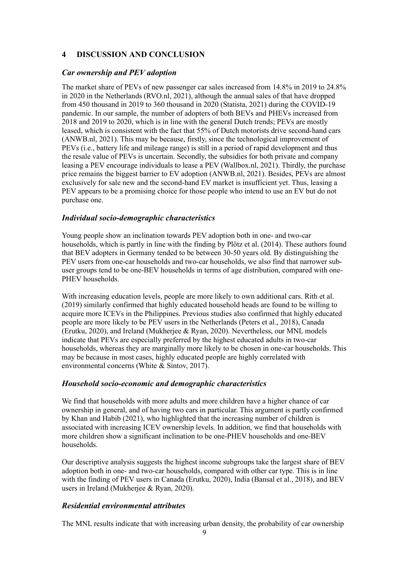## **4 DISCUSSION AND CONCLUSION**

#### *Car ownership and PEV adoption*

The market share of PEVs of new passenger car sales increased from 14.8% in 2019 to 24.8% in 2020 in the Netherlands [\(RVO.nl, 2021\)](#page-10-7), although the annual sales of that have dropped from 450 thousand in 2019 to 360 thousand in 2020 [\(Statista, 2021\)](#page-10-8) during the COVID-19 pandemic. In our sample, the number of adopters of both BEVs and PHEVs increased from 2018 and 2019 to 2020, which is in line with the general Dutch trends; PEVs are mostly leased, which is consistent with the fact that 55% of Dutch motorists drive second-hand cars [\(ANWB.nl, 2021\)](#page-9-1). This may be because, firstly, since the technological improvement of PEVs (i.e., battery life and mileage range) is still in a period of rapid development and thus the resale value of PEVs is uncertain. Secondly, the subsidies for both private and company leasing a PEV encourage individuals to lease a PEV [\(Wallbox.nl, 2021\)](#page-10-9). Thirdly, the purchase price remains the biggest barrier to EV adoption [\(ANWB.nl, 2021\)](#page-9-1). Besides, PEVs are almost exclusively for sale new and the second-hand EV market is insufficient yet. Thus, leasing a PEV appears to be a promising choice for those people who intend to use an EV but do not purchase one.

#### *Individual socio-demographic characteristics*

Young people show an inclination towards PEV adoption both in one- and two-car households, which is partly in line with the finding by [Plötz et al. \(2014\).](#page-10-10) These authors found that BEV adopters in Germany tended to be between 30-50 years old. By distinguishing the PEV users from one-car households and two-car households, we also find that narrower subuser groups tend to be one-BEV households in terms of age distribution, compared with one-PHEV households.

With increasing education levels, people are more likely to own additional cars. [Rith et al.](#page-10-1)  (2019) similarly confirmed that highly educated household heads are found to be willing to acquire more ICEVs in the Philippines. Previous studies also confirmed that highly educated people are more likely to be PEV users in the Netherlands [\(Peters et al., 2018\)](#page-10-11), Canada [\(Erutku, 2020\)](#page-10-12), and Ireland [\(Mukherjee & Ryan, 2020\)](#page-10-13). Nevertheless, our MNL models indicate that PEVs are especially preferred by the highest educated adults in two-car households, whereas they are marginally more likely to be chosen in one-car households. This may be because in most cases, highly educated people are highly correlated with environmental concerns [\(White & Sintov, 2017\)](#page-11-0).

#### *Household socio-economic and demographic characteristics*

We find that households with more adults and more children have a higher chance of car ownership in general, and of having two cars in particular. This argument is partly confirmed by [Khan and Habib \(2021\),](#page-10-14) who highlighted that the increasing number of children is associated with increasing ICEV ownership levels. In addition, we find that households with more children show a significant inclination to be one-PHEV households and one-BEV households.

Our descriptive analysis suggests the highest income subgroups take the largest share of BEV adoption both in one- and two-car households, compared with other car type. This is in line with the finding of PEV users in Canada [\(Erutku, 2020\)](#page-10-12), India [\(Bansal et al., 2018\)](#page-9-2), and BEV users in Ireland [\(Mukherjee & Ryan, 2020\)](#page-10-13).

### *Residential environmental attributes*

The MNL results indicate that with increasing urban density, the probability of car ownership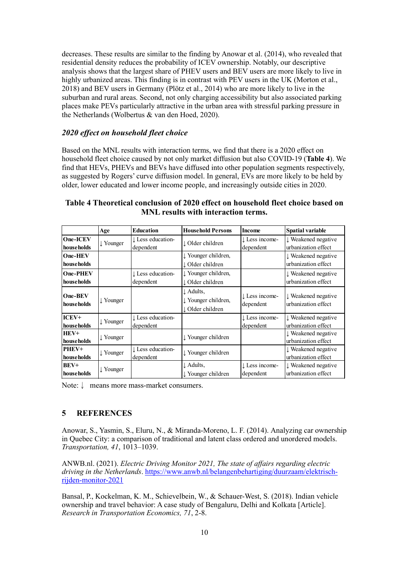decreases. These results are similar to the finding by [Anowar et al. \(2014\),](#page-9-0) who revealed that residential density reduces the probability of ICEV ownership. Notably, our descriptive analysis shows that the largest share of PHEV users and BEV users are more likely to live in highly urbanized areas. This finding is in contrast with PEV users in the UK (Morton et al., [2018\)](#page-10-15) and BEV users in Germany [\(Plötz et al., 2014\)](#page-10-10) who are more likely to live in the suburban and rural areas. Second, not only charging accessibility but also associated parking places make PEVs particularly attractive in the urban area with stressful parking pressure in the Netherlands [\(Wolbertus & van den Hoed, 2020\)](#page-11-1).

## *2020 effect on household fleet choice*

Based on the MNL results with interaction terms, we find that there is a 2020 effect on household fleet choice caused by not only market diffusion but also COVID-19 (**Table 4**). We find that HEVs, PHEVs and BEVs have diffused into other population segments respectively, as suggested by Rogers' curve diffusion model. In general, EVs are more likely to be held by older, lower educated and lower income people, and increasingly outside cities in 2020.

|                                | Age                  | <b>Education</b>               | <b>Household Persons</b>                             | Income                                 | <b>Spatial variable</b>                               |
|--------------------------------|----------------------|--------------------------------|------------------------------------------------------|----------------------------------------|-------------------------------------------------------|
| One-ICEV<br>households         | $\downarrow$ Younger | Less education-<br>dependent   | ↓ Older children                                     | $\downarrow$ Less income-<br>dependent | ↓ Weakened negative<br>urbanization effect            |
| <b>One-HEV</b><br>households   |                      |                                | ↓ Younger children,<br>↓ Older children              |                                        | ↓ Weakened negative<br>urbanization effect            |
| <b>One-PHEV</b><br>house holds |                      | Less education-<br>dependent   | l Younger children,<br>l Older children              |                                        | ↓ Weakened negative<br>urbanization effect            |
| One-BEV<br>households          | ↓ Younger            |                                | ↓ Adults,<br>l Younger children,<br>↓ Older children | ↓ Less income-<br>dependent            | ↓ Weakened negative<br>urbanization effect            |
| $ICEV+$<br>house holds         | $\downarrow$ Younger | ↓ Less education-<br>dependent |                                                      | $\downarrow$ Less income-<br>dependent | ↓ Weakened negative<br>urbanization effect            |
| $HEV+$<br>house holds          | $\downarrow$ Younger |                                | ↓ Younger children                                   |                                        | $\downarrow$ Weakened negative<br>urbanization effect |
| PHEV+<br>households            | $\downarrow$ Younger | Less education-<br>dependent   | ↓ Younger children                                   |                                        | ↓ Weakened negative<br>urbanization effect            |
| BEV+<br>households             | $\downarrow$ Younger |                                | ↓ Adults,<br>↓ Younger children                      | $\downarrow$ Less income-<br>dependent | ↓ Weakened negative<br>urbanization effect            |

**Table 4 Theoretical conclusion of 2020 effect on household fleet choice based on MNL results with interaction terms.**

Note:↓ means more mass-market consumers.

#### **5 REFERENCES**

<span id="page-9-0"></span>Anowar, S., Yasmin, S., Eluru, N., & Miranda-Moreno, L. F. (2014). Analyzing car ownership in Quebec City: a comparison of traditional and latent class ordered and unordered models. *Transportation, 41*, 1013–1039.

<span id="page-9-1"></span>ANWB.nl. (2021). *Electric Driving Monitor 2021, The state of affairs regarding electric driving in the Netherlands*. [https://www.anwb.nl/belangenbehartiging/duurzaam/elektrisch](https://www.anwb.nl/belangenbehartiging/duurzaam/elektrisch-rijden-monitor-2021)[rijden-monitor-2021](https://www.anwb.nl/belangenbehartiging/duurzaam/elektrisch-rijden-monitor-2021)

<span id="page-9-2"></span>Bansal, P., Kockelman, K. M., Schievelbein, W., & Schauer-West, S. (2018). Indian vehicle ownership and travel behavior: A case study of Bengaluru, Delhi and Kolkata [Article]. *Research in Transportation Economics, 71*, 2-8.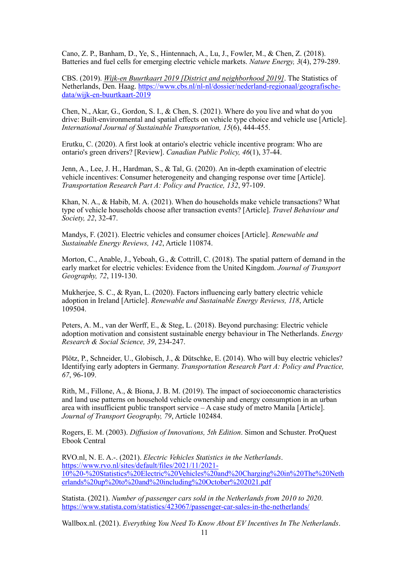<span id="page-10-0"></span>Cano, Z. P., Banham, D., Ye, S., Hintennach, A., Lu, J., Fowler, M., & Chen, Z. (2018). Batteries and fuel cells for emerging electric vehicle markets. *Nature Energy, 3*(4), 279-289.

<span id="page-10-6"></span>CBS. (2019). *Wijk-en Buurtkaart 2019 [District and neighborhood 2019]*. The Statistics of Netherlands, Den. Haag. [https://www.cbs.nl/nl-nl/dossier/nederland-regionaal/geografische](https://www.cbs.nl/nl-nl/dossier/nederland-regionaal/geografische-data/wijk-en-buurtkaart-2019)[data/wijk-en-buurtkaart-2019](https://www.cbs.nl/nl-nl/dossier/nederland-regionaal/geografische-data/wijk-en-buurtkaart-2019)

<span id="page-10-2"></span>Chen, N., Akar, G., Gordon, S. I., & Chen, S. (2021). Where do you live and what do you drive: Built-environmental and spatial effects on vehicle type choice and vehicle use [Article]. *International Journal of Sustainable Transportation, 15*(6), 444-455.

<span id="page-10-12"></span>Erutku, C. (2020). A first look at ontario's electric vehicle incentive program: Who are ontario's green drivers? [Review]. *Canadian Public Policy, 46*(1), 37-44.

<span id="page-10-4"></span>Jenn, A., Lee, J. H., Hardman, S., & Tal, G. (2020). An in-depth examination of electric vehicle incentives: Consumer heterogeneity and changing response over time [Article]. *Transportation Research Part A: Policy and Practice, 132*, 97-109.

<span id="page-10-14"></span>Khan, N. A., & Habib, M. A. (2021). When do households make vehicle transactions? What type of vehicle households choose after transaction events? [Article]. *Travel Behaviour and Society, 22*, 32-47.

<span id="page-10-3"></span>Mandys, F. (2021). Electric vehicles and consumer choices [Article]. *Renewable and Sustainable Energy Reviews, 142*, Article 110874.

<span id="page-10-15"></span>Morton, C., Anable, J., Yeboah, G., & Cottrill, C. (2018). The spatial pattern of demand in the early market for electric vehicles: Evidence from the United Kingdom. *Journal of Transport Geography, 72*, 119-130.

<span id="page-10-13"></span>Mukherjee, S. C., & Ryan, L. (2020). Factors influencing early battery electric vehicle adoption in Ireland [Article]. *Renewable and Sustainable Energy Reviews, 118*, Article 109504.

<span id="page-10-11"></span>Peters, A. M., van der Werff, E., & Steg, L. (2018). Beyond purchasing: Electric vehicle adoption motivation and consistent sustainable energy behaviour in The Netherlands. *Energy Research & Social Science, 39*, 234-247.

<span id="page-10-10"></span>Plötz, P., Schneider, U., Globisch, J., & Dütschke, E. (2014). Who will buy electric vehicles? Identifying early adopters in Germany. *Transportation Research Part A: Policy and Practice, 67*, 96-109.

<span id="page-10-1"></span>Rith, M., Fillone, A., & Biona, J. B. M. (2019). The impact of socioeconomic characteristics and land use patterns on household vehicle ownership and energy consumption in an urban area with insufficient public transport service – A case study of metro Manila [Article]. *Journal of Transport Geography, 79*, Article 102484.

<span id="page-10-5"></span>Rogers, E. M. (2003). *Diffusion of Innovations, 5th Edition*. Simon and Schuster. ProQuest Ebook Central

<span id="page-10-7"></span>RVO.nl, N. E. A.-. (2021). *Electric Vehicles Statistics in the Netherlands*. [https://www.rvo.nl/sites/default/files/2021/11/2021-](https://www.rvo.nl/sites/default/files/2021/11/2021-10%20-%20Statistics%20Electric%20Vehicles%20and%20Charging%20in%20The%20Netherlands%20up%20to%20and%20including%20October%202021.pdf) [10%20-%20Statistics%20Electric%20Vehicles%20and%20Charging%20in%20The%20Neth](https://www.rvo.nl/sites/default/files/2021/11/2021-10%20-%20Statistics%20Electric%20Vehicles%20and%20Charging%20in%20The%20Netherlands%20up%20to%20and%20including%20October%202021.pdf) [erlands%20up%20to%20and%20including%20October%202021.pdf](https://www.rvo.nl/sites/default/files/2021/11/2021-10%20-%20Statistics%20Electric%20Vehicles%20and%20Charging%20in%20The%20Netherlands%20up%20to%20and%20including%20October%202021.pdf)

<span id="page-10-8"></span>Statista. (2021). *Number of passenger cars sold in the Netherlands from 2010 to 2020*. <https://www.statista.com/statistics/423067/passenger-car-sales-in-the-netherlands/>

<span id="page-10-9"></span>Wallbox.nl. (2021). *Everything You Need To Know About EV Incentives In The Netherlands*.